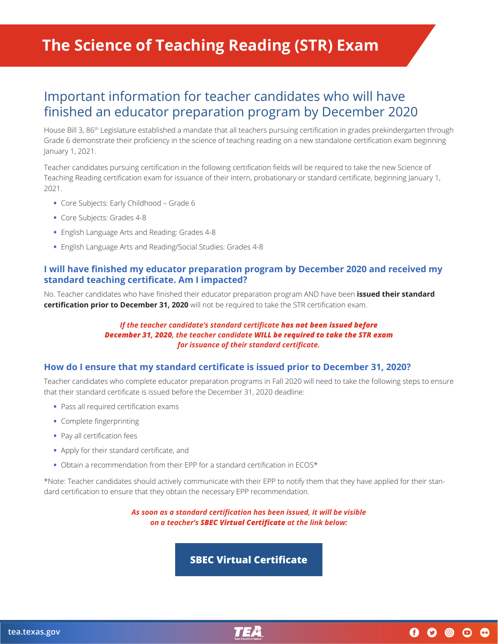# **The Science of Teaching Reading (STR) Exam**

## Important information for teacher candidates who will have finished an educator preparation program by December 2020

House Bill 3, 86<sup>th</sup> Legislature established a mandate that all teachers pursuing certification in grades prekindergarten through Grade 6 demonstrate their proficiency in the science of teaching reading on a new standalone certification exam beginning January 1, 2021.

Teacher candidates pursuing certification in the following certification fields will be required to take the new Science of Teaching Reading certification exam for issuance of their intern, probationary or standard certificate, beginning January 1, 2021.

- **•** Core Subjects: Early Childhood Grade 6
- **•** Core Subjects: Grades 4-8
- **•** English Language Arts and Reading: Grades 4-8
- **•** English Language Arts and Reading/Social Studies: Grades 4-8

#### **I will have finished my educator preparation program by December 2020 and received my standard teaching certificate. Am I impacted?**

No. Teacher candidates who have finished their educator preparation program AND have been **issued their standard certification prior to December 31, 2020** will not be required to take the STR certification exam.

#### *If the teacher candidate's standard certificate has not been issued before December 31, 2020, the teacher candidate WILL be required to take the STR exam for issuance of their standard certificate.*

#### **How do I ensure that my standard certificate is issued prior to December 31, 2020?**

Teacher candidates who complete educator preparation programs in Fall 2020 will need to take the following steps to ensure that their standard certificate is issued before the December 31, 2020 deadline:

- **•** Pass all required certification exams
- **•** Complete fingerprinting
- **•** Pay all certification fees
- **•** Apply for their standard certificate, and
- **•** Obtain a recommendation from their EPP for a standard certification in ECOS\*

\*Note: Teacher candidates should actively communicate with their EPP to notify them that they have applied for their standard certification to ensure that they obtain the necessary EPP recommendation.

> *As soon as a standard certification has been issued, it will be visible on a teacher's SBEC Virtual Certificate at the link below:*

> > **[SBEC Virtual Certificate](https://secure.sbec.state.tx.us/SBECONLINE/virtcert.asp)**